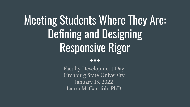# Meeting Students Where They Are: Defining and Designing Responsive Rigor

#### $\bullet \bullet \bullet$

Faculty Development Day Fitchburg State University January 13, 2022 Laura M. Garofoli, PhD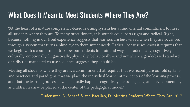#### What Does It Mean to Meet Students Where They Are?

"At the heart of a mature competency-based learning system lies a fundamental commitment to meet all students where they are. To many practitioners, this sounds equal parts right and radical. Right, because nothing in our lived experience suggests that learners are best served when they are advanced through a system that turns a blind eye to their unmet needs. Radical, because we know it requires that we begin with a commitment to know our students in profound ways – academically, cognitively, culturally, emotionally, linguistically, physically, behaviorally – and not where a grade-based standard or a district-mandated course sequence suggests they should be.

Meeting all students where they are is a commitment that requires that we reconfigure our old systems and practices and paradigms; that we place the individual learner at the center of the learning process; and that the learning process – what actually happens cognitively, neurologically, and developmentally as children learn – be placed at the center of the pedagogical model."

#### [-Rudenstine, A., Schaef, S. and Bacallao, D., Meeting Students Where They Are, 2017](http://www.aurora-institute.org/wp-content/uploads/CompetencyWorks-MeetingStudentsWhereTheyAre2.pdf)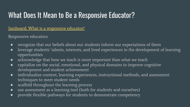## What Does It Mean to Be a Responsive Educator?

#### [Jamboard: What is a responsive educator?](https://jamboard.google.com/d/17-F7cmyQnIMnDSl22BX0UXNoYgLYtFoKDmdAoPlPRlM/edit?usp=sharing)

Responsive educators

- recognize that our beliefs about our students inform our expectations of them
- leverage students' talents, interests, and lived experiences in the development of learning opportunities
- acknowledge that how we teach is more important than what we teach
- capitalize on the social, emotional, and physical domains to improve cognitive development and student achievement
- individualize content, learning experiences, instructional methods, and assessment techniques to meet student needs
- scaffold throughout the learning process
- use assessment as a learning tool (both for students and ourselves)
- provide flexible pathways for students to demonstrate competency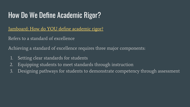### How Do We Define Academic Rigor?

[Jamboard: How do YOU define academic rigor?](https://jamboard.google.com/d/1eKtCo5KXnROw8glZcakWB55iY6oMMl_RBmt8ogHj6aY/edit?usp=sharing)

Refers to a standard of excellence

Achieving a standard of excellence requires three major components:

- 1. Setting clear standards for students
- 2. Equipping students to meet standards through instruction
- 3. Designing pathways for students to demonstrate competency through assessment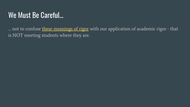### We Must Be Careful…

... not to confuse [these meanings of rigor](https://www.merriam-webster.com/dictionary/rigor) with our application of academic rigor - that is NOT meeting students where they are.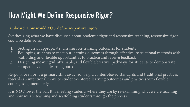# How Might We Define Responsive Rigor?

#### [Jamboard: How would YOU define responsive rigor?](https://jamboard.google.com/d/1GH-Uh3fE-T9SODP9ILrUxDsF5pflTkmufghelvH9pag/edit?usp=sharing)

Synthesizing what we have discussed about academic rigor and responsive teaching, responsive rigor could be defined as:

- 1. Setting clear, appropriate , measurable learning outcomes for students
- 2. Equipping students to meet our learning outcomes through effective instructional methods with scaffolding and flexible opportunities to practice and receive feedback
- 3. Designing meaningful, attainable, and flexible/creative pathways for students to demonstrate competency on all learning outcomes

Responsive rigor is a primary shift away from rigid content-based standards and traditional practices towards an intentional move to student-centered learning outcomes and practices with flexible course/assignment design.

It is NOT lower the bar. It is meeting students where they are by re-examining what we are teaching and how we are teaching and scaffolding students through the process.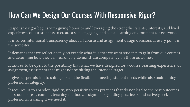### How Can We Design Our Courses With Responsive Rigor?

Responsive rigor begins with giving honor to and leveraging the strengths, talents, interests, and lived experiences of our students to create a safe, engaging, and social learning environment for everyone.

It involves intentional transparency about all course and assignment design decisions at every point in the semester.

It demands that we reflect deeply on exactly what it is that we want students to gain from our courses and determine how they can reasonably demonstrate competency on those outcomes.

It asks us to be open to the possibility that what we have designed for a course, learning experience, or assignment/assessment that might not be hitting the intended target.

It gives us permission to shift gears and be flexible in meeting student needs while also maintaining professional integrity.

It requires us to abandon rigidity, stop persisting with practices that do not lead to the best outcomes for students (e.g., content, teaching methods, assignments, grading practices), and actively seek professional learning if we need it.